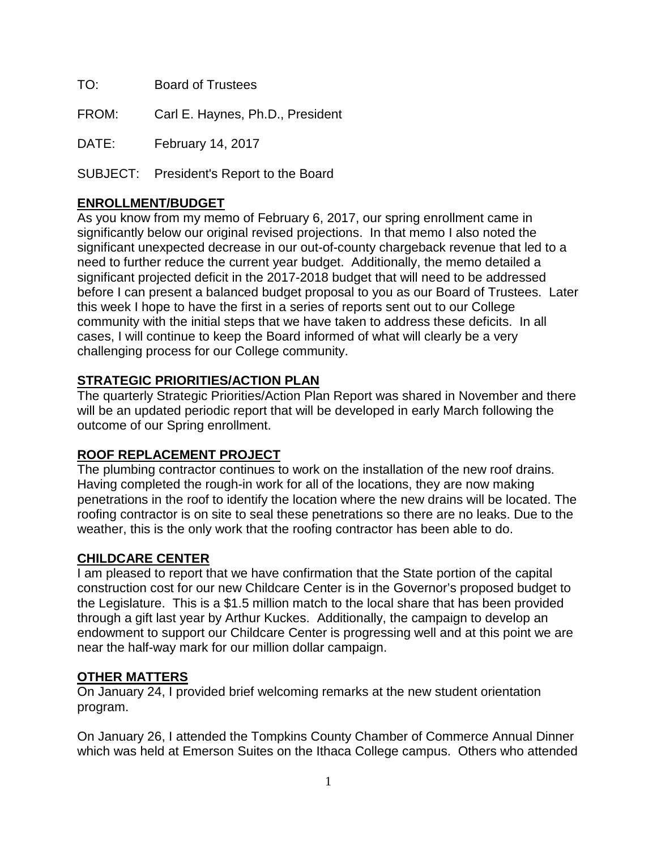TO: Board of Trustees

FROM: Carl E. Haynes, Ph.D., President

DATE: February 14, 2017

SUBJECT: President's Report to the Board

# **ENROLLMENT/BUDGET**

As you know from my memo of February 6, 2017, our spring enrollment came in significantly below our original revised projections. In that memo I also noted the significant unexpected decrease in our out-of-county chargeback revenue that led to a need to further reduce the current year budget. Additionally, the memo detailed a significant projected deficit in the 2017-2018 budget that will need to be addressed before I can present a balanced budget proposal to you as our Board of Trustees. Later this week I hope to have the first in a series of reports sent out to our College community with the initial steps that we have taken to address these deficits. In all cases, I will continue to keep the Board informed of what will clearly be a very challenging process for our College community.

## **STRATEGIC PRIORITIES/ACTION PLAN**

The quarterly Strategic Priorities/Action Plan Report was shared in November and there will be an updated periodic report that will be developed in early March following the outcome of our Spring enrollment.

### **ROOF REPLACEMENT PROJECT**

The plumbing contractor continues to work on the installation of the new roof drains. Having completed the rough-in work for all of the locations, they are now making penetrations in the roof to identify the location where the new drains will be located. The roofing contractor is on site to seal these penetrations so there are no leaks. Due to the weather, this is the only work that the roofing contractor has been able to do.

### **CHILDCARE CENTER**

I am pleased to report that we have confirmation that the State portion of the capital construction cost for our new Childcare Center is in the Governor's proposed budget to the Legislature. This is a \$1.5 million match to the local share that has been provided through a gift last year by Arthur Kuckes. Additionally, the campaign to develop an endowment to support our Childcare Center is progressing well and at this point we are near the half-way mark for our million dollar campaign.

### **OTHER MATTERS**

On January 24, I provided brief welcoming remarks at the new student orientation program.

On January 26, I attended the Tompkins County Chamber of Commerce Annual Dinner which was held at Emerson Suites on the Ithaca College campus. Others who attended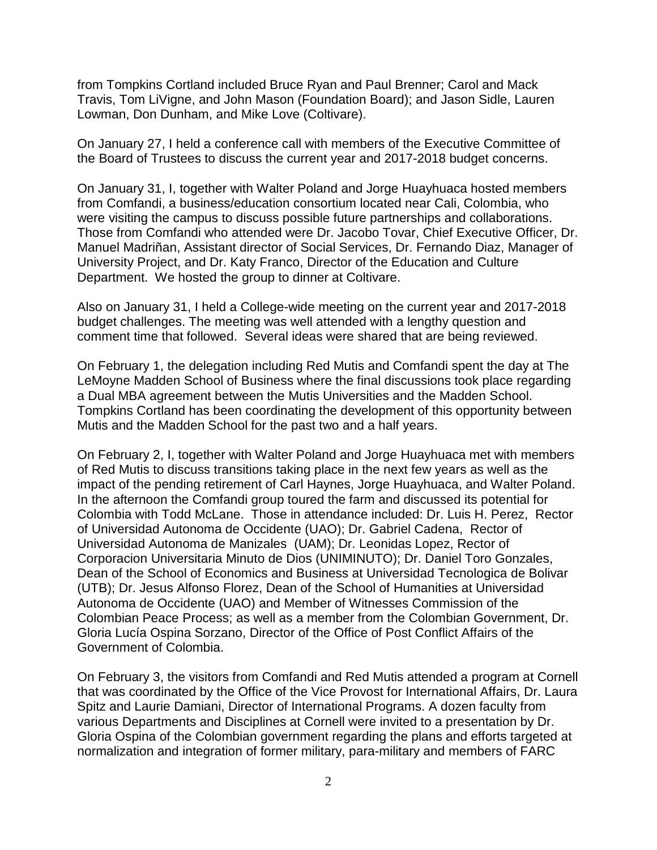from Tompkins Cortland included Bruce Ryan and Paul Brenner; Carol and Mack Travis, Tom LiVigne, and John Mason (Foundation Board); and Jason Sidle, Lauren Lowman, Don Dunham, and Mike Love (Coltivare).

On January 27, I held a conference call with members of the Executive Committee of the Board of Trustees to discuss the current year and 2017-2018 budget concerns.

On January 31, I, together with Walter Poland and Jorge Huayhuaca hosted members from Comfandi, a business/education consortium located near Cali, Colombia, who were visiting the campus to discuss possible future partnerships and collaborations. Those from Comfandi who attended were Dr. Jacobo Tovar, Chief Executive Officer, Dr. Manuel Madriñan, Assistant director of Social Services, Dr. Fernando Diaz, Manager of University Project, and Dr. Katy Franco, Director of the Education and Culture Department. We hosted the group to dinner at Coltivare.

Also on January 31, I held a College-wide meeting on the current year and 2017-2018 budget challenges. The meeting was well attended with a lengthy question and comment time that followed. Several ideas were shared that are being reviewed.

On February 1, the delegation including Red Mutis and Comfandi spent the day at The LeMoyne Madden School of Business where the final discussions took place regarding a Dual MBA agreement between the Mutis Universities and the Madden School. Tompkins Cortland has been coordinating the development of this opportunity between Mutis and the Madden School for the past two and a half years.

On February 2, I, together with Walter Poland and Jorge Huayhuaca met with members of Red Mutis to discuss transitions taking place in the next few years as well as the impact of the pending retirement of Carl Haynes, Jorge Huayhuaca, and Walter Poland. In the afternoon the Comfandi group toured the farm and discussed its potential for Colombia with Todd McLane. Those in attendance included: Dr. Luis H. Perez, Rector of Universidad Autonoma de Occidente (UAO); Dr. Gabriel Cadena, Rector of Universidad Autonoma de Manizales (UAM); Dr. Leonidas Lopez, Rector of Corporacion Universitaria Minuto de Dios (UNIMINUTO); Dr. Daniel Toro Gonzales, Dean of the School of Economics and Business at Universidad Tecnologica de Bolivar (UTB); Dr. Jesus Alfonso Florez, Dean of the School of Humanities at Universidad Autonoma de Occidente (UAO) and Member of Witnesses Commission of the Colombian Peace Process; as well as a member from the Colombian Government, Dr. Gloria Lucía Ospina Sorzano, Director of the Office of Post Conflict Affairs of the Government of Colombia.

On February 3, the visitors from Comfandi and Red Mutis attended a program at Cornell that was coordinated by the Office of the Vice Provost for International Affairs, Dr. Laura Spitz and Laurie Damiani, Director of International Programs. A dozen faculty from various Departments and Disciplines at Cornell were invited to a presentation by Dr. Gloria Ospina of the Colombian government regarding the plans and efforts targeted at normalization and integration of former military, para-military and members of FARC